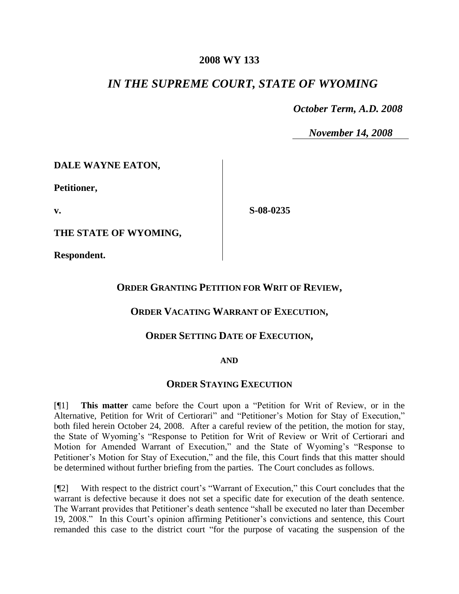#### **2008 WY 133**

# *IN THE SUPREME COURT, STATE OF WYOMING*

 *October Term, A.D. 2008*

*November 14, 2008*

**DALE WAYNE EATON,**

**Petitioner,**

**v.**

**S-08-0235**

**THE STATE OF WYOMING,**

**Respondent.**

## **ORDER GRANTING PETITION FOR WRIT OF REVIEW,**

## **ORDER VACATING WARRANT OF EXECUTION,**

## **ORDER SETTING DATE OF EXECUTION,**

#### **AND**

#### **ORDER STAYING EXECUTION**

[¶1] **This matter** came before the Court upon a "Petition for Writ of Review, or in the Alternative, Petition for Writ of Certiorari" and "Petitioner's Motion for Stay of Execution," both filed herein October 24, 2008. After a careful review of the petition, the motion for stay, the State of Wyoming's "Response to Petition for Writ of Review or Writ of Certiorari and Motion for Amended Warrant of Execution," and the State of Wyoming's "Response to Petitioner's Motion for Stay of Execution," and the file, this Court finds that this matter should be determined without further briefing from the parties. The Court concludes as follows.

[¶2] With respect to the district court's "Warrant of Execution," this Court concludes that the warrant is defective because it does not set a specific date for execution of the death sentence. The Warrant provides that Petitioner's death sentence "shall be executed no later than December 19, 2008." In this Court's opinion affirming Petitioner's convictions and sentence, this Court remanded this case to the district court "for the purpose of vacating the suspension of the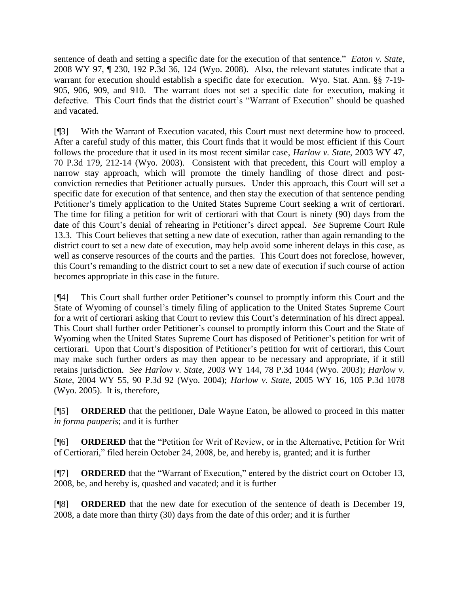sentence of death and setting a specific date for the execution of that sentence." *Eaton v. State*, 2008 WY 97, ¶ 230, 192 P.3d 36, 124 (Wyo. 2008). Also, the relevant statutes indicate that a warrant for execution should establish a specific date for execution. Wyo. Stat. Ann. §§ 7-19- 905, 906, 909, and 910. The warrant does not set a specific date for execution, making it defective. This Court finds that the district court's "Warrant of Execution" should be quashed and vacated.

[¶3] With the Warrant of Execution vacated, this Court must next determine how to proceed. After a careful study of this matter, this Court finds that it would be most efficient if this Court follows the procedure that it used in its most recent similar case, *Harlow v. State*, 2003 WY 47, 70 P.3d 179, 212-14 (Wyo. 2003). Consistent with that precedent, this Court will employ a narrow stay approach, which will promote the timely handling of those direct and postconviction remedies that Petitioner actually pursues. Under this approach, this Court will set a specific date for execution of that sentence, and then stay the execution of that sentence pending Petitioner's timely application to the United States Supreme Court seeking a writ of certiorari. The time for filing a petition for writ of certiorari with that Court is ninety (90) days from the date of this Court's denial of rehearing in Petitioner's direct appeal. *See* Supreme Court Rule 13.3. This Court believes that setting a new date of execution, rather than again remanding to the district court to set a new date of execution, may help avoid some inherent delays in this case, as well as conserve resources of the courts and the parties. This Court does not foreclose, however, this Court's remanding to the district court to set a new date of execution if such course of action becomes appropriate in this case in the future.

[¶4] This Court shall further order Petitioner's counsel to promptly inform this Court and the State of Wyoming of counsel's timely filing of application to the United States Supreme Court for a writ of certiorari asking that Court to review this Court's determination of his direct appeal. This Court shall further order Petitioner's counsel to promptly inform this Court and the State of Wyoming when the United States Supreme Court has disposed of Petitioner's petition for writ of certiorari. Upon that Court's disposition of Petitioner's petition for writ of certiorari, this Court may make such further orders as may then appear to be necessary and appropriate, if it still retains jurisdiction. *See Harlow v. State*, 2003 WY 144, 78 P.3d 1044 (Wyo. 2003); *Harlow v. State*, 2004 WY 55, 90 P.3d 92 (Wyo. 2004); *Harlow v. State*, 2005 WY 16, 105 P.3d 1078 (Wyo. 2005). It is, therefore,

[¶5] **ORDERED** that the petitioner, Dale Wayne Eaton, be allowed to proceed in this matter *in forma pauperis*; and it is further

[¶6] **ORDERED** that the "Petition for Writ of Review, or in the Alternative, Petition for Writ of Certiorari," filed herein October 24, 2008, be, and hereby is, granted; and it is further

[¶7] **ORDERED** that the "Warrant of Execution," entered by the district court on October 13, 2008, be, and hereby is, quashed and vacated; and it is further

[¶8] **ORDERED** that the new date for execution of the sentence of death is December 19, 2008, a date more than thirty (30) days from the date of this order; and it is further